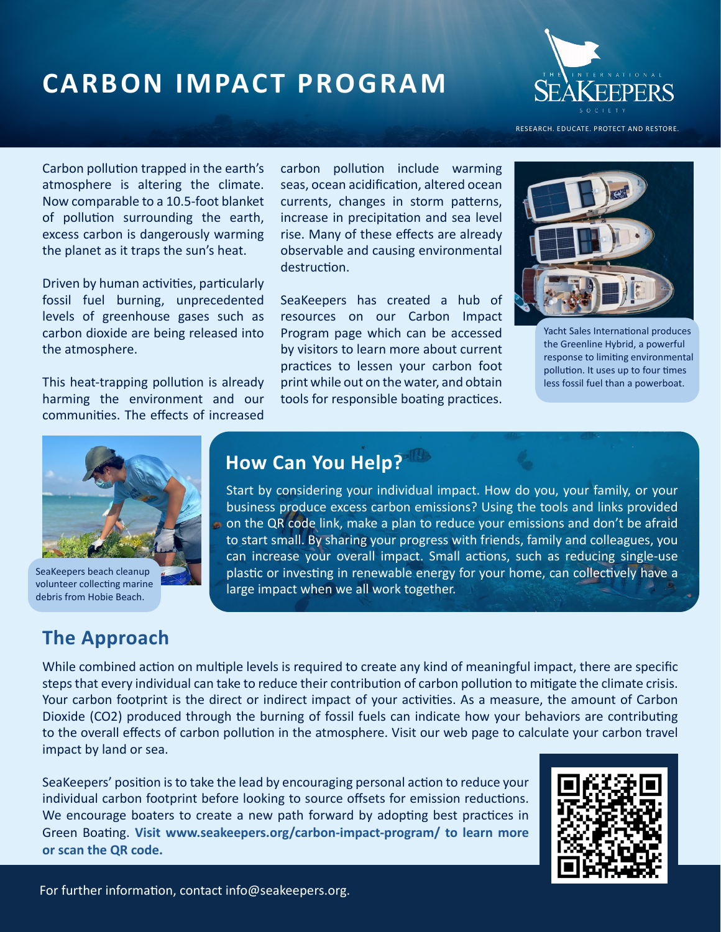# *Carbon Impact Program* **CARBON IMPACT PROGRAM**



RESEARCH. EDUCATE. PROTECT AND RESTORE.

Carbon pollution trapped in the earth's atmosphere is altering the climate. Now comparable to a 10.5-foot blanket of pollution surrounding the earth, excess carbon is dangerously warming the planet as it traps the sun's heat.

Driven by human activities, particularly fossil fuel burning, unprecedented levels of greenhouse gases such as carbon dioxide are being released into the atmosphere.

This heat-trapping pollution is already harming the environment and our communities. The effects of increased carbon pollution include warming seas, ocean acidification, altered ocean currents, changes in storm patterns, increase in precipitation and sea level rise. Many of these effects are already observable and causing environmental destruction.

SeaKeepers has created a hub of resources on our Carbon Impact Program page which can be accessed by visitors to learn more about current practices to lessen your carbon foot print while out on the water, and obtain tools for responsible boating practices.



Yacht Sales International produces the Greenline Hybrid, a powerful response to limiting environmental pollution. It uses up to four times less fossil fuel than a powerboat.



SeaKeepers beach cleanup volunteer collecting marine debris from Hobie Beach.

#### **The Approach**

# **How Can You Help?**

Start by considering your individual impact. How do you, your family, or your business produce excess carbon emissions? Using the tools and links provided on the QR code link, make a plan to reduce your emissions and don't be afraid to start small. By sharing your progress with friends, family and colleagues, you can increase your overall impact. Small actions, such as reducing single-use plastic or investing in renewable energy for your home, can collectively have a large impact when we all work together.

While combined action on multiple levels is required to create any kind of meaningful impact, there are specific steps that every individual can take to reduce their contribution of carbon pollution to mitigate the climate crisis. Your carbon footprint is the direct or indirect impact of your activities. As a measure, the amount of Carbon Dioxide (CO2) produced through the burning of fossil fuels can indicate how your behaviors are contributing to the overall effects of carbon pollution in the atmosphere. Visit our web page to calculate your carbon travel impact by land or sea.

SeaKeepers' position is to take the lead by encouraging personal action to reduce your individual carbon footprint before looking to source offsets for emission reductions. We encourage boaters to create a new path forward by adopting best practices in Green Boating. **Visit www.seakeepers.org/carbon-impact-program/ to learn more or scan the QR code.**